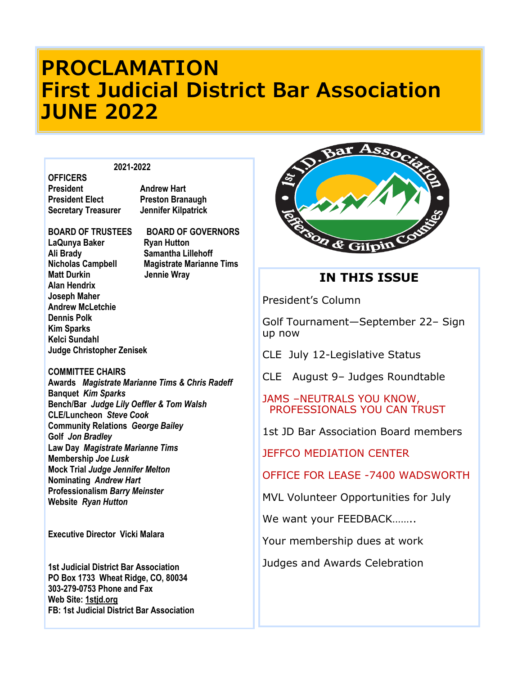### **PROCLAMATION First Judicial District Bar Association JUNE 2022**

#### **2021-2022**

**OFFICERS President Elect Preston Branaugh Secretary Treasurer Jennifer Kilpatrick** 

**Andrew Hart** 

# **BOARD OF TRUSTEES BOARD OF GOVERNORS**

**LaQunya Baker Ryan Hutton Ali Brady Samantha Lillehoff Nicholas Campbell Magistrate Marianne Tims Matt Durkin State State State State State State State State State State State State State State State State State State State State State State State State State State State State State State State State State State State Alan Hendrix Joseph Maher Andrew McLetchie Dennis Polk Kim Sparks Kelci Sundahl Judge Christopher Zenisek**

**COMMITTEE CHAIRS Awards** *Magistrate Marianne Tims & Chris Radeff* **Banquet** *Kim Sparks* **Bench/Bar** *Judge Lily Oeffler & Tom Walsh* **CLE/Luncheon** *Steve Cook* **Community Relations** *George Bailey* **Golf** *Jon Bradley* **Law Day** *Magistrate Marianne Tims* **Membership** *Joe Lusk* **Mock Trial** *Judge Jennifer Melton*  **Nominating** *Andrew Hart* **Professionalism** *Barry Meinster* **Website** *Ryan Hutton*

**Executive Director Vicki Malara**

**1st Judicial District Bar Association PO Box 1733 Wheat Ridge, CO, 80034 303-279-0753 Phone and Fax Web Site:<1stjd.org> FB: 1st Judicial District Bar Association**



### **IN THIS ISSUE**

President's Column

Golf Tournament—September 22– Sign up now

CLE July 12-Legislative Status

CLE August 9– Judges Roundtable

### JAMS –NEUTRALS YOU KNOW, PROFESSIONALS YOU CAN TRUST

1st JD Bar Association Board members

JEFFCO MEDIATION CENTER

OFFICE FOR LEASE -7400 WADSWORTH

MVL Volunteer Opportunities for July

We want your FEEDBACK……..

Your membership dues at work

Judges and Awards Celebration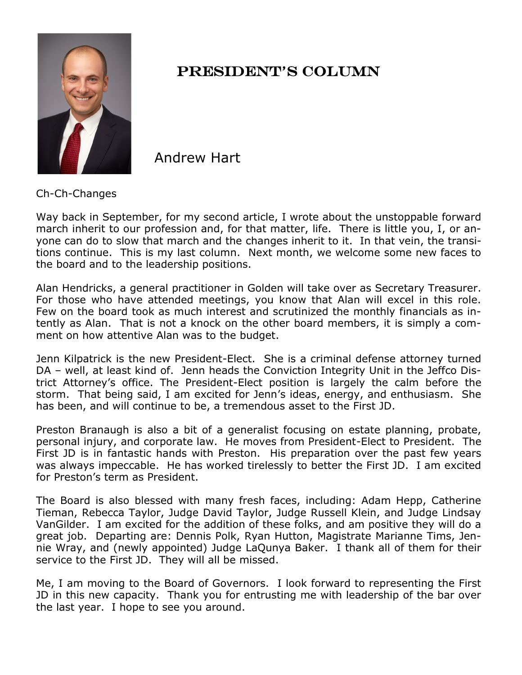

### PRESIDENT'S COLUMN

Andrew Hart

Ch-Ch-Changes

Way back in September, for my second article, I wrote about the unstoppable forward march inherit to our profession and, for that matter, life. There is little you, I, or anyone can do to slow that march and the changes inherit to it. In that vein, the transitions continue. This is my last column. Next month, we welcome some new faces to the board and to the leadership positions.

Alan Hendricks, a general practitioner in Golden will take over as Secretary Treasurer. For those who have attended meetings, you know that Alan will excel in this role. Few on the board took as much interest and scrutinized the monthly financials as intently as Alan. That is not a knock on the other board members, it is simply a comment on how attentive Alan was to the budget.

Jenn Kilpatrick is the new President-Elect. She is a criminal defense attorney turned DA – well, at least kind of. Jenn heads the Conviction Integrity Unit in the Jeffco District Attorney's office. The President-Elect position is largely the calm before the storm. That being said, I am excited for Jenn's ideas, energy, and enthusiasm. She has been, and will continue to be, a tremendous asset to the First JD.

Preston Branaugh is also a bit of a generalist focusing on estate planning, probate, personal injury, and corporate law. He moves from President-Elect to President. The First JD is in fantastic hands with Preston. His preparation over the past few years was always impeccable. He has worked tirelessly to better the First JD. I am excited for Preston's term as President.

The Board is also blessed with many fresh faces, including: Adam Hepp, Catherine Tieman, Rebecca Taylor, Judge David Taylor, Judge Russell Klein, and Judge Lindsay VanGilder. I am excited for the addition of these folks, and am positive they will do a great job. Departing are: Dennis Polk, Ryan Hutton, Magistrate Marianne Tims, Jennie Wray, and (newly appointed) Judge LaQunya Baker. I thank all of them for their service to the First JD. They will all be missed.

Me, I am moving to the Board of Governors. I look forward to representing the First JD in this new capacity. Thank you for entrusting me with leadership of the bar over the last year. I hope to see you around.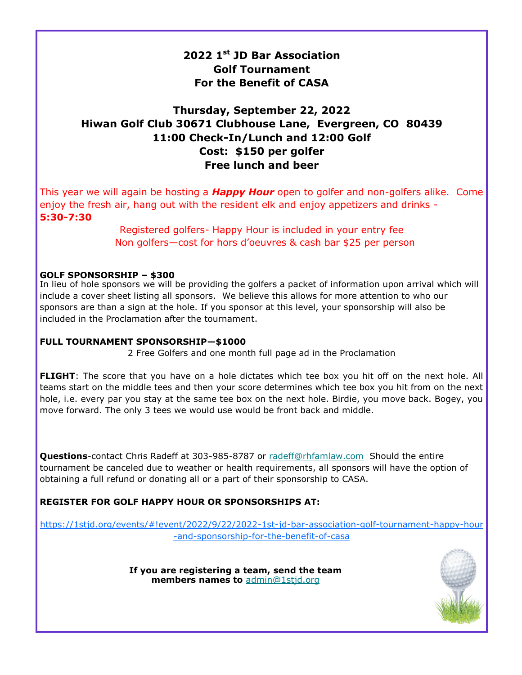### **2022 1st JD Bar Association Golf Tournament For the Benefit of CASA**

### **Thursday, September 22, 2022 Hiwan Golf Club 30671 Clubhouse Lane, Evergreen, CO 80439 11:00 Check-In/Lunch and 12:00 Golf Cost: \$150 per golfer Free lunch and beer**

This year we will again be hosting a *Happy Hour* open to golfer and non-golfers alike. Come enjoy the fresh air, hang out with the resident elk and enjoy appetizers and drinks - **5:30-7:30** 

> Registered golfers- Happy Hour is included in your entry fee Non golfers—cost for hors d'oeuvres & cash bar \$25 per person

### **GOLF SPONSORSHIP – \$300**

In lieu of hole sponsors we will be providing the golfers a packet of information upon arrival which will include a cover sheet listing all sponsors. We believe this allows for more attention to who our sponsors are than a sign at the hole. If you sponsor at this level, your sponsorship will also be included in the Proclamation after the tournament.

### **FULL TOURNAMENT SPONSORSHIP—\$1000**

2 Free Golfers and one month full page ad in the Proclamation

**FLIGHT**: The score that you have on a hole dictates which tee box you hit off on the next hole. All teams start on the middle tees and then your score determines which tee box you hit from on the next hole, i.e. every par you stay at the same tee box on the next hole. Birdie, you move back. Bogey, you move forward. The only 3 tees we would use would be front back and middle.

**Questions**-contact Chris Radeff at 303-985-8787 or [radeff@rhfamlaw.com](mailto:radeff@rhfamlaw.com) Should the entire tournament be canceled due to weather or health requirements, all sponsors will have the option of obtaining a full refund or donating all or a part of their sponsorship to CASA.

### **REGISTER FOR GOLF HAPPY HOUR OR SPONSORSHIPS AT:**

[https://1stjd.org/events/#!event/2022/9/22/2022](https://1stjd.org/events/#!event/2022/9/22/2022-1st-jd-bar-association-golf-tournament-happy-hour-and-sponsorship-for-the-benefit-of-casa)-1st-jd-bar-association-golf-tournament-happy-hour -and-[sponsorship](https://1stjd.org/events/#!event/2022/9/22/2022-1st-jd-bar-association-golf-tournament-happy-hour-and-sponsorship-for-the-benefit-of-casa)-for-the-benefit-of-casa

> **If you are registering a team, send the team members names to** [admin@1stjd.org](mailto:admin@1stjd.org)

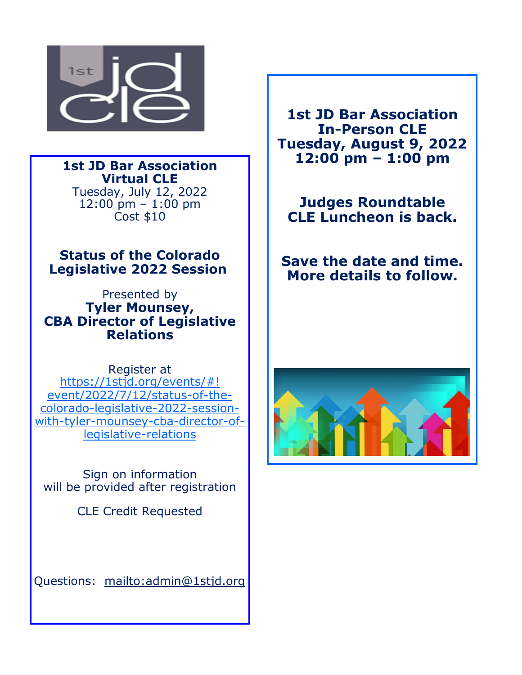

**1st JD Bar Association Virtual CLE**  Tuesday, July 12, 2022 12:00 pm – 1:00 pm Cost \$10

**Status of the Colorado Legislative 2022 Session**

Presented by **Tyler Mounsey, CBA Director of Legislative Relations** 

Register at [https://1stjd.org/events/#!](https://1stjd.org/events/#!event/2022/7/12/status-of-the-colorado-legislative-2022-session-with-tyler-mounsey-cba-director-of-legislative-relations) [event/2022/7/12/status](https://1stjd.org/events/#!event/2022/7/12/status-of-the-colorado-legislative-2022-session-with-tyler-mounsey-cba-director-of-legislative-relations)-of-thecolorado-[legislative](https://1stjd.org/events/#!event/2022/7/12/status-of-the-colorado-legislative-2022-session-with-tyler-mounsey-cba-director-of-legislative-relations)-2022-sessionwith-tyler-[mounsey](https://1stjd.org/events/#!event/2022/7/12/status-of-the-colorado-legislative-2022-session-with-tyler-mounsey-cba-director-of-legislative-relations)-cba-director-of[legislative](https://1stjd.org/events/#!event/2022/7/12/status-of-the-colorado-legislative-2022-session-with-tyler-mounsey-cba-director-of-legislative-relations)-relations

Sign on information will be provided after registration

CLE Credit Requested

Questions: <mailto:admin@1stjd.org>

**1st JD Bar Association In-Person CLE Tuesday, August 9, 2022 12:00 pm – 1:00 pm**

**Judges Roundtable CLE Luncheon is back.**

**Save the date and time. More details to follow.**

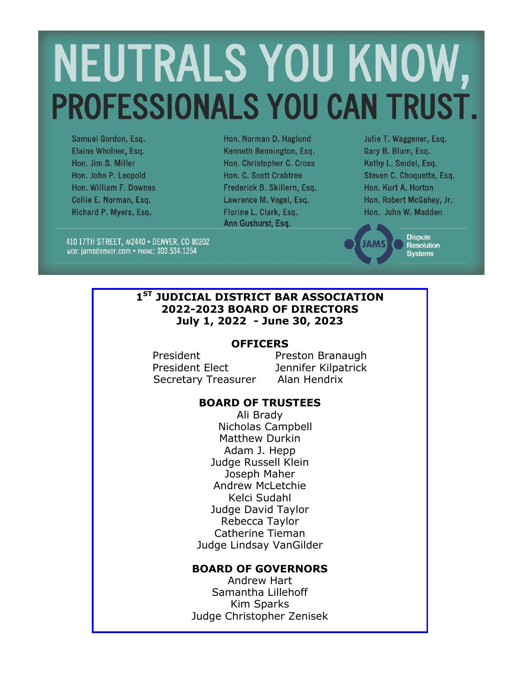# NEUTRALS YOU KNOW, **PROFESSIONALS YOU CAN TRUST.**

Samuel Gordon, Esq. Elaine Wholner, Esq. Hon. Jim S. Miller Hon. John P. Leopold Hon. William F. Downes Collie E. Norman, Esq. Richard P. Myers, Esq.

Hon. Norman D. Haglund Kenneth Bennington, Esq. Hon. Christopher C. Cross Hon. C. Scott Crabtree Frederick B. Skillern, Esq. Lawrence M. Vogel, Esq. Florine L. Clark, Esq. Ann Gushurst, Esq.

Julie T. Waggener, Esq. Gary B. Blum, Esq. Kathy L. Seidel, Esq. Steven C. Choquette, Esq. Hon. Kurt A. Horton Hon. Robert McGahey, Jr. Hon. John W. Madden

410 17TH STREET, #2440 · DENVER, CO 80202 WEB: jamsdenver.com • PHONE: 303.534.1254

**Dispute Resolution Systems** 

### **1 ST JUDICIAL DISTRICT BAR ASSOCIATION 2022-2023 BOARD OF DIRECTORS July 1, 2022 - June 30, 2023**

### **OFFICERS**

President Preston Branaugh President Elect Jennifer Kilpatrick Secretary Treasurer Alan Hendrix

### **BOARD OF TRUSTEES**

Ali Brady Nicholas Campbell Matthew Durkin Adam J. Hepp Judge Russell Klein Joseph Maher Andrew McLetchie Kelci Sudahl Judge David Taylor Rebecca Taylor Catherine Tieman Judge Lindsay VanGilder

### **BOARD OF GOVERNORS**

Andrew Hart Samantha Lillehoff Kim Sparks Judge Christopher Zenisek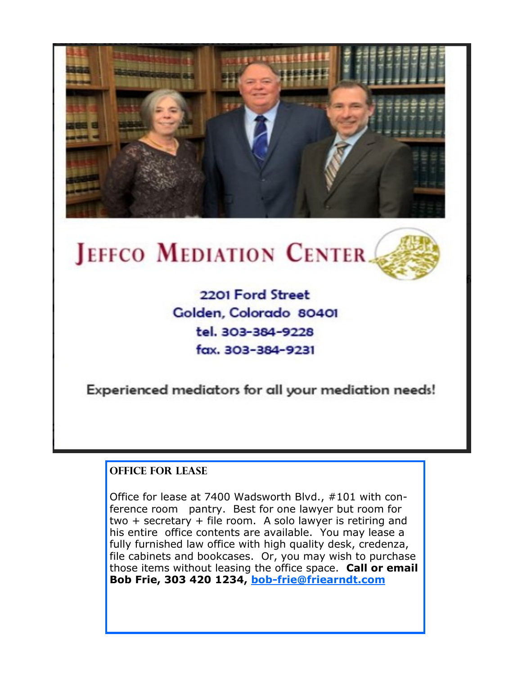

## JEFFCO MEDIATION CENTER.



Experienced mediators for all your mediation needs!

### **OFFICE FOR LEASE**

Office for lease at 7400 Wadsworth Blvd., #101 with conference room pantry. Best for one lawyer but room for two + secretary + file room. A solo lawyer is retiring and his entire office contents are available. You may lease a fully furnished law office with high quality desk, credenza, file cabinets and bookcases. Or, you may wish to purchase those items without leasing the office space. **Call or email Bob Frie, 303 420 1234, bob-[frie@friearndt.com](mailto:bob-frie@friearndt.com)**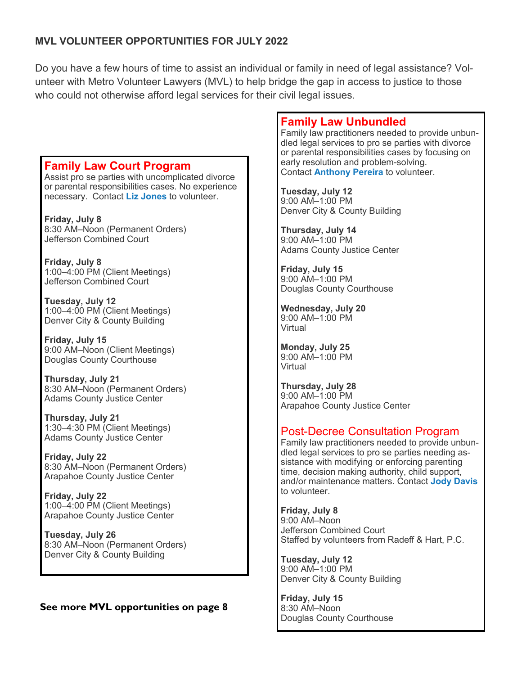### **MVL VOLUNTEER OPPORTUNITIES FOR JULY 2022**

Do you have a few hours of time to assist an individual or family in need of legal assistance? Volunteer with Metro Volunteer Lawyers (MVL) to help bridge the gap in access to justice to those who could not otherwise afford legal services for their civil legal issues.

### **Family Law Court Program**

Assist pro se parties with uncomplicated divorce or parental responsibilities cases. No experience necessary. Contact **[Liz Jones](mailto:ejones@denbar.org)** to volunteer.

**Friday, July 8** 8:30 AM–Noon (Permanent Orders) Jefferson Combined Court

**Friday, July 8** 1:00–4:00 PM (Client Meetings) Jefferson Combined Court

**Tuesday, July 12** 1:00–4:00 PM (Client Meetings) Denver City & County Building

**Friday, July 15** 9:00 AM–Noon (Client Meetings) Douglas County Courthouse

**Thursday, July 21** 8:30 AM–Noon (Permanent Orders) Adams County Justice Center

**Thursday, July 21** 1:30–4:30 PM (Client Meetings) Adams County Justice Center

**Friday, July 22** 8:30 AM–Noon (Permanent Orders) Arapahoe County Justice Center

**Friday, July 22** 1:00–4:00 PM (Client Meetings) Arapahoe County Justice Center

**Tuesday, July 26** 8:30 AM–Noon (Permanent Orders) Denver City & County Building

### **See more MVL opportunities on page 8**

### **Family Law Unbundled**

Family law practitioners needed to provide unbundled legal services to pro se parties with divorce or parental responsibilities cases by focusing on early resolution and problem-solving. Contact **[Anthony Pereira](mailto:apereira@cobar.org)** to volunteer.

**Tuesday, July 12** 9:00 AM–1:00 PM

Denver City & County Building

**Thursday, July 14** 9:00 AM–1:00 PM Adams County Justice Center

**Friday, July 15** 9:00 AM–1:00 PM Douglas County Courthouse

**Wednesday, July 20** 9:00 AM–1:00 PM Virtual

**Monday, July 25** 9:00 AM–1:00 PM Virtual

**Thursday, July 28** 9:00 AM–1:00 PM Arapahoe County Justice Center

### Post-Decree Consultation Program

Family law practitioners needed to provide unbundled legal services to pro se parties needing assistance with modifying or enforcing parenting time, decision making authority, child support, and/or maintenance matters. Contact **[Jody Davis](mailto:jody.davis@denbar.org)** to volunteer.

**Friday, July 8** 9:00 AM–Noon Jefferson Combined Court Staffed by volunteers from Radeff & Hart, P.C.

**Tuesday, July 12** 9:00 AM–1:00 PM Denver City & County Building

**Friday, July 15** 8:30 AM–Noon Douglas County Courthouse